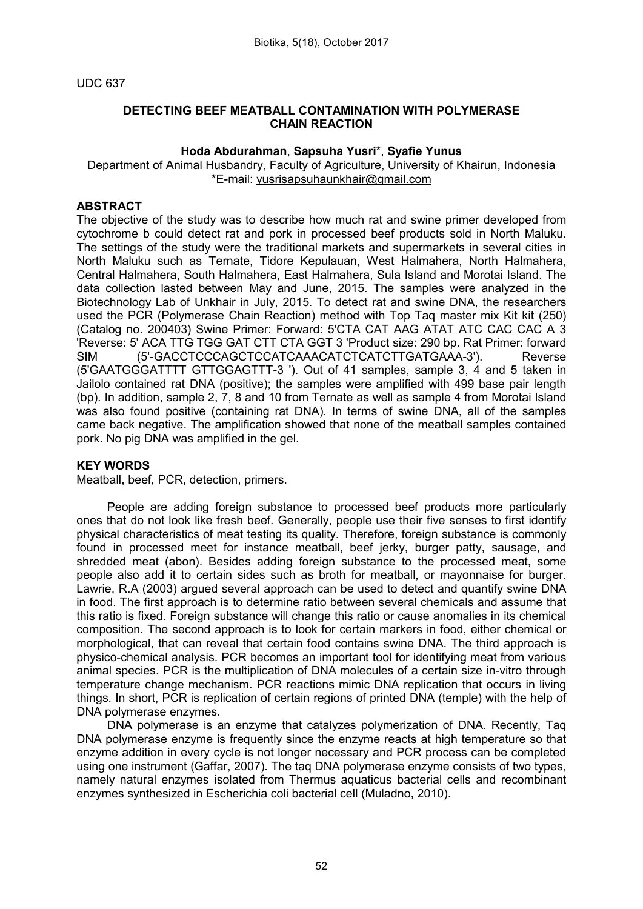#### UDC 637

# DETECTING BEEF MEATBALL CONTAMINATION WITH POLYMERASE CHAIN REACTION

#### Hoda Abdurahman, Sapsuha Yusri\*, Syafie Yunus

Department of Animal Husbandry, Faculty of Agriculture, University of Khairun, Indonesia \*E-mail: [yusrisapsuhaunkhair@gmail.com](mailto:yusrisapsuhaunkhair@gmail.com)

# **ABSTRACT**

The objective of the study was to describe how much rat and swine primer developed from cytochrome b could detect rat and pork in processed beef products sold in North Maluku. The settings of the study were the traditional markets and supermarkets in several cities in North Maluku such as Ternate, Tidore Kepulauan, West Halmahera, North Halmahera, Central Halmahera, South Halmahera, East Halmahera, Sula Island and Morotai Island. The data collection lasted between May and June, 2015. The samples were analyzed in the Biotechnology Lab of Unkhair in July, 2015. To detect rat and swine DNA, the researchers used the PCR (Polymerase Chain Reaction) method with Top Taq master mix Kit kit (250) (Catalog no. 200403) Swine Primer: Forward: 5'CTA CAT AAG ATAT ATC CAC CAC A 3 'Reverse: 5' ACA TTG TGG GAT CTT CTA GGT 3 'Product size: 290 bp. Rat Primer: forward SIM (5'-GACCTCCCAGCTCCATCAAACATCTCATCTTGATGAAA-3'). Reverse (5'GAATGGGATTTT GTTGGAGTTT-3 '). Out of 41 samples, sample 3, 4 and 5 taken in Jailolo contained rat DNA (positive); the samples were amplified with 499 base pair length (bp). In addition, sample 2, 7, 8 and 10 from Ternate as well as sample 4 from Morotai Island was also found positive (containing rat DNA). In terms of swine DNA, all of the samples came back negative. The amplification showed that none of the meatball samples contained pork. No pig DNA was amplified in the gel.

# KEY WORDS

Meatball, beef, PCR, detection, primers.

People are adding foreign substance to processed beef products more particularly ones that do not look like fresh beef. Generally, people use their five senses to first identify physical characteristics of meat testing its quality. Therefore, foreign substance is commonly found in processed meet for instance meatball, beef jerky, burger patty, sausage, and shredded meat (abon). Besides adding foreign substance to the processed meat, some people also add it to certain sides such as broth for meatball, or mayonnaise for burger. Lawrie, R.A (2003) argued several approach can be used to detect and quantify swine DNA in food. The first approach is to determine ratio between several chemicals and assume that this ratio is fixed. Foreign substance will change this ratio or cause anomalies in its chemical composition. The second approach is to look for certain markers in food, either chemical or morphological, that can reveal that certain food contains swine DNA. The third approach is physico-chemical analysis. PCR becomes an important tool for identifying meat from various animal species. PCR is the multiplication of DNA molecules of a certain size in-vitro through temperature change mechanism. PCR reactions mimic DNA replication that occurs in living things. In short, PCR is replication of certain regions of printed DNA (temple) with the help of DNA polymerase enzymes.

DNA polymerase is an enzyme that catalyzes polymerization of DNA. Recently, Taq DNA polymerase enzyme is frequently since the enzyme reacts at high temperature so that enzyme addition in every cycle is not longer necessary and PCR process can be completed using one instrument (Gaffar, 2007). The taq DNA polymerase enzyme consists of two types, namely natural enzymes isolated from Thermus aquaticus bacterial cells and recombinant enzymes synthesized in Escherichia coli bacterial cell (Muladno, 2010).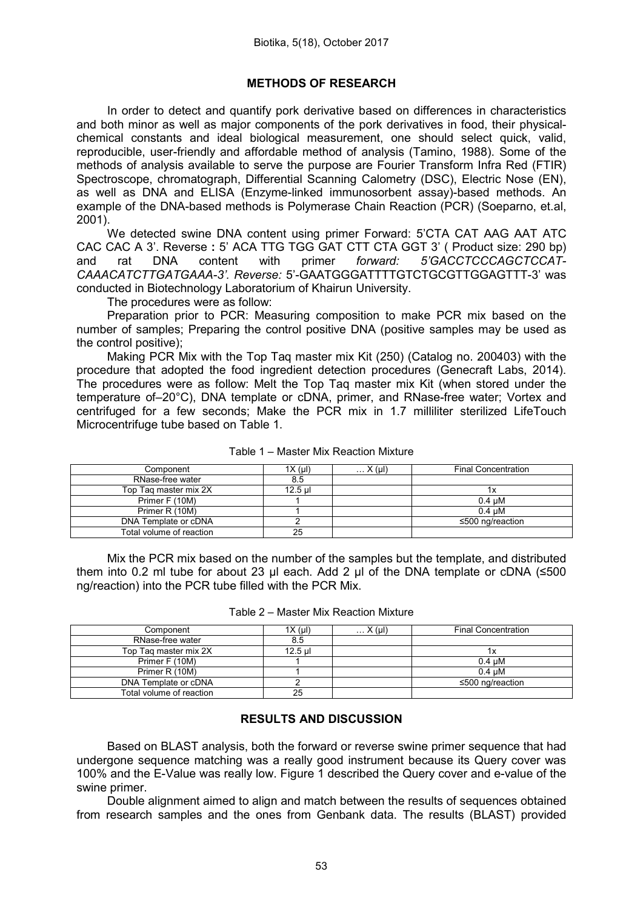# METHODS OF RESEARCH

In order to detect and quantify pork derivative based on differences in characteristics and both minor as well as major components of the pork derivatives in food, their physicalchemical constants and ideal biological measurement, one should select quick, valid, reproducible, user-friendly and affordable method of analysis (Tamino, 1988). Some of the methods of analysis available to serve the purpose are Fourier Transform Infra Red (FTIR) Spectroscope, chromatograph, Differential Scanning Calometry (DSC), Electric Nose (EN), as well as DNA and ELISA (Enzyme-linked immunosorbent assay)-based methods. An example of the DNA-based methods is Polymerase Chain Reaction (PCR) (Soeparno, et.al, 2001).

We detected swine DNA content using primer Forward: 5'CTA CAT AAG AAT ATC CAC CAC A 3'. Reverse : 5' ACA TTG TGG GAT CTT CTA GGT 3' ( Product size: 290 bp) and rat DNA content with primer *forward: 5'GACCTCCCAGCTCCAT-CAAACATCTTGATGAAA-3'. Reverse:* 5'-GAATGGGATTTTGTCTGCGTTGGAGTTT-3' was conducted in Biotechnology Laboratorium of Khairun University.

The procedures were as follow:

Preparation prior to PCR: Measuring composition to make PCR mix based on the number of samples; Preparing the control positive DNA (positive samples may be used as the control positive);

Making PCR Mix with the Top Taq master mix Kit (250) (Catalog no. 200403) with the procedure that adopted the food ingredient detection procedures (Genecraft Labs, 2014). The procedures were as follow: Melt the Top Taq master mix Kit (when stored under the temperature of–20°C), DNA template or cDNA, primer, and RNase-free water; Vortex and centrifuged for a few seconds; Make the PCR mix in 1.7 milliliter sterilized LifeTouch Microcentrifuge tube based on Table 1.

| Component                | $1X(\mu I)$ | $\ldots$ X (µI) | <b>Final Concentration</b> |
|--------------------------|-------------|-----------------|----------------------------|
| RNase-free water         | 8.5         |                 |                            |
| Top Tag master mix 2X    | $12.5$ ul   |                 |                            |
| Primer F (10M)           |             |                 | $0.4 \text{ uM}$           |
| Primer R (10M)           |             |                 | $0.4 \text{ uM}$           |
| DNA Template or cDNA     |             |                 | ≤500 ng/reaction           |
| Total volume of reaction | 25          |                 |                            |

Table 1 – Master Mix Reaction Mixture

Mix the PCR mix based on the number of the samples but the template, and distributed them into 0.2 ml tube for about 23 μl each. Add 2 μl of the DNA template or cDNA (≤500 ng/reaction) into the PCR tube filled with the PCR Mix.

Table 2 – Master Mix Reaction Mixture

| Component                | 1X (µl) | $\ldots$ X (µl) | <b>Final Concentration</b> |
|--------------------------|---------|-----------------|----------------------------|
| RNase-free water         | 8.5     |                 |                            |
| Top Tag master mix 2X    | 12.5 ul |                 |                            |
| Primer F (10M)           |         |                 | $0.4 \text{ uM}$           |
| Primer R (10M)           |         |                 | $0.4 \text{ uM}$           |
| DNA Template or cDNA     |         |                 | ≤500 ng/reaction           |
| Total volume of reaction | 25      |                 |                            |

# RESULTS AND DISCUSSION

Based on BLAST analysis, both the forward or reverse swine primer sequence that had undergone sequence matching was a really good instrument because its Query cover was 100% and the E-Value was really low. Figure 1 described the Query cover and e-value of the swine primer.

Double alignment aimed to align and match between the results of sequences obtained from research samples and the ones from Genbank data. The results (BLAST) provided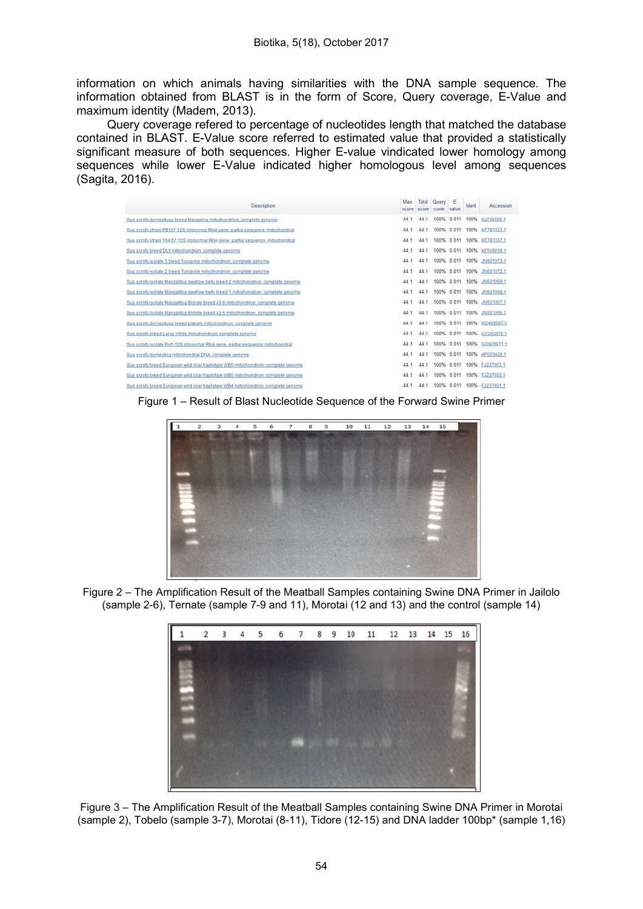information on which animals having similarities with the DNA sample sequence. The information obtained from BLAST is in the form of Score, Query coverage, E-Value and maximum identity (Madem, 2013).

Query coverage refered to percentage of nucleotides length that matched the database contained in BLAST. E-Value score referred to estimated value that provided a statistically significant measure of both sequences. Higher E-value vindicated lower homology among sequences while lower E-Value indicated higher homologous level among sequences (Sagita, 2016).

| Description                                                                        | Max<br>score | Total<br><b>SCOFB</b> | Query<br>cover | E<br>value | Ident | Accession       |
|------------------------------------------------------------------------------------|--------------|-----------------------|----------------|------------|-------|-----------------|
| Sus scrofa domesticus breed Mangalica mitochondrigo, complete genome               | 44.1         |                       | 100%           | 0.011      | 100%  | KJ746666.1      |
| Sus scrofa strain PB137 12S ribosomal RNA gene, partial sequence: mitochondrial    | 44.1         | 44.1                  | 100%           | 0.011      | 100%  | KF781323.1      |
| Sus scrofa strain T04-57,12S ribosomal RNA gene, partial sequence; mitochondrial   | 44.1         | 44.1                  | 100%           | 0.011      | 100%  | KF781337.1      |
| Sus scrota breed DLY mitochondrion, complete genome                                | 44.1         | 44.1                  | 100%           | 0.011      | 100%  | KF569218.1      |
| Sus scrofa isolate 3 breed Turopolie mitochondrion, complete genome                | 44.1         | 44.1                  | 100%           | 0.011      | 100%  | JN6010731       |
| Sus scrofa isolate 2 breed Turopolie mitochondrion, complete cenome                | 44.1         | 44.1                  | 100%           | 0.011      | 100%  | 24601072.1      |
| Sus scrola isolate Manoalitsa swallow belly breed 2 mitochondrion, complete genome | 44.1         | 44.1                  | 100%           | 0.011      | 100%  | JN601069.1      |
| Sus scrota isolate Mangalitsa swallow belly breed 1 mitochondrion, complete genome | 44.1         | 44-1                  | 100%           | 0.011      | 100%  | 是1601068.1      |
| Sus scrofa isolate Mangalitsa Blonde breed 43-6 mitochondrion, complete genome     | 44.1         | 44.1                  | 100%           | 0.011      | 100%  | 24601067.1      |
| Sus screta isolate Mangalitsa Blonde breed 43-5 mitochondrion, complete genome     | 44.1         | 44.1                  | 100%           | 0.011      | 100%  | RI601066.1      |
| Sus scrofa domésticus breed pietrain mitochondrion, complete denomé                | 44.1         | 44.1                  | 100%           | 0.011      | 100%  | KC459587.1      |
| Sus scrofa breed Large White mitochondrion, complete genome                        | 44.1         | 44.1                  | 100%           | 0.011      | 100%  | KC250275.1      |
| Sus scrofa isolate Pig1 12S ribosomal RNA gene, partial sequence imitochondrial    | 44.1         | 44.1                  | 100%           | 0.011      | 100%  | GO926971.1      |
| Sus scrofa domestica mitochondrial DNA, complete genome                            | 44.1         | 44.1                  | 100%           | 0.011      | 100%  | AP003428.1      |
| Sus scrofa breed European wild boar haplotipe WB6 mitochondrion, complete genome   | 44.1         | 44.1                  | 100%           | 0.011      | 100%  | FJ237003.1      |
| Sus scrofa breed European wild boar haplotine WB5 mitochondrion, complete genome   | 44.1         | 44.1                  | 100%           | 0.011      | 100%  | FJ237002.1      |
| Sus scrofa breed European wild boar hapistipe WB4 mitochondrion, complete genome   | 44.1         |                       | 100%           | 0.011      |       | 100% EJ237001.1 |

Figure 1 – Result of Blast Nucleotide Sequence of the Forward Swine Primer



Figure 2 – The Amplification Result of the Meatball Samples containing Swine DNA Primer in Jailolo (sample 2-6), Ternate (sample 7-9 and 11), Morotai (12 and 13) and the control (sample 14)



Figure 3 – The Amplification Result of the Meatball Samples containing Swine DNA Primer in Morotai (sample 2), Tobelo (sample 3-7), Morotai (8-11), Tidore (12-15) and DNA ladder 100bp\* (sample 1,16)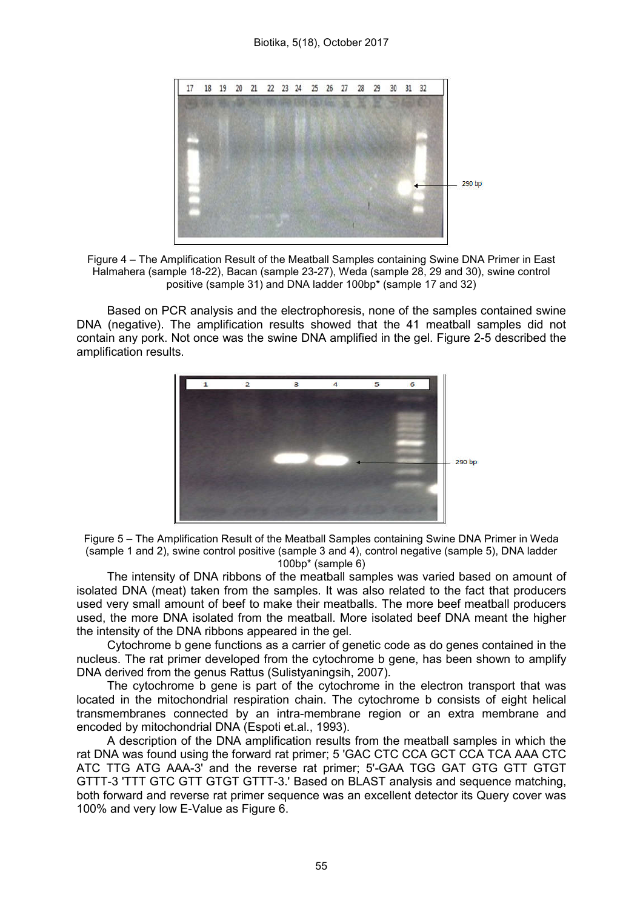#### Biotika, 5(18), October 2017





Based on PCR analysis and the electrophoresis, none of the samples contained swine DNA (negative). The amplification results showed that the 41 meatball samples did not contain any pork. Not once was the swine DNA amplified in the gel. Figure 2-5 described the amplification results.



Figure 5 – The Amplification Result of the Meatball Samples containing Swine DNA Primer in Weda (sample 1 and 2), swine control positive (sample 3 and 4), control negative (sample 5), DNA ladder 100bp\* (sample 6)

The intensity of DNA ribbons of the meatball samples was varied based on amount of isolated DNA (meat) taken from the samples. It was also related to the fact that producers used very small amount of beef to make their meatballs. The more beef meatball producers used, the more DNA isolated from the meatball. More isolated beef DNA meant the higher the intensity of the DNA ribbons appeared in the gel.

Cytochrome b gene functions as a carrier of genetic code as do genes contained in the nucleus. The rat primer developed from the cytochrome b gene, has been shown to amplify DNA derived from the genus Rattus (Sulistyaningsih, 2007).

The cytochrome b gene is part of the cytochrome in the electron transport that was located in the mitochondrial respiration chain. The cytochrome b consists of eight helical transmembranes connected by an intra-membrane region or an extra membrane and encoded by mitochondrial DNA (Espoti et.al., 1993).

A description of the DNA amplification results from the meatball samples in which the rat DNA was found using the forward rat primer; 5 'GAC CTC CCA GCT CCA TCA AAA CTC ATC TTG ATG AAA-3' and the reverse rat primer; 5'-GAA TGG GAT GTG GTT GTGT GTTT-3 'TTT GTC GTT GTGT GTTT-3.' Based on BLAST analysis and sequence matching, both forward and reverse rat primer sequence was an excellent detector its Query cover was 100% and very low E-Value as Figure 6.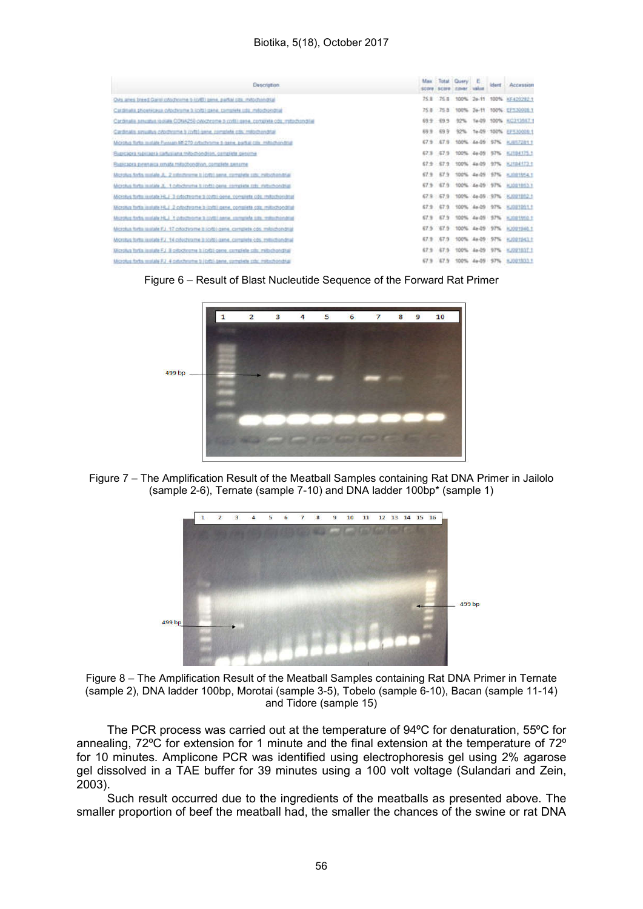#### Biotika, 5(18), October 2017

| Description.                                                                                 | May   | Total.  |            | <b>SSAM</b> |      | derf Accession             |
|----------------------------------------------------------------------------------------------|-------|---------|------------|-------------|------|----------------------------|
| Over ames breed Garisi collationing is (critic panel, partial cost, mitochingital)           | 75.8  | 75.8    |            |             |      | 100% 2e-11 100% HF420282.1 |
| Cardinalis phoefebeca cylochroma b lonts gene, complete cdc imitochological                  | 75.8  | $-75B$  | 100%       |             |      | 24-11 100% EFS30008.1      |
| Cardinalia smugges regizes CONA250 cytozenme proviti rame, compilete cox imitoriondrial      | 69.9  | $-19.9$ | 92%        |             |      | Te-09 100% RO212017.1      |
| Cardinalis sysualtus chottermine il codo qene, complete cds. malochondrial                   | 69.9  | 699     | 92%        |             |      | 1+49 100% EFT30000.1       |
| Microhas Nelss matide Flexuary MF-270 extertioning it noise, partial city, milliotheristical | 67.9  | 67.9    |            |             |      | 100% 4x-09 ST% HJSTZS11    |
| Ruproprà rabilitata cartusiana mitochondrian, completa genome                                | 67 %  | -67.9   | 100%       | $-44 - 20$  | 57%  | 62104125.1                 |
| Russcapra pinenacca rimata millschondinin, complete sename                                   | 67.9  | E79     | 100% Ea-09 |             |      | 97% 8,1104173.1            |
| Microlus Sylts matate JL, 2 extenty-wree ii (cyto) serve, complete cost, metochonistial      | 67.9  | 87.9    | 100%       | 44-09       | \$7% | 利用性格もす                     |
| Microfus forta matale 3, 1 cylochmetra ti (cytt) garra complete coto mitochondrial           | 67%   | 07.9    |            |             |      | 100% 4x-09 57% KI001003.1  |
| Microbis torita issistate Ht. F 3 cotochrome 3 costal gene, complete cds: millachiendrial    | 67.9. | $-67.9$ |            |             |      | 100% 4+46 SPN KJ021002.1   |
| Morphis fints include HLJ 2 provincime 3 (prit) gene, complete cox: milliothondrial          | 67.9  | 67.9    |            |             |      | 100% 4x-09 97% KJ021201.1  |
| Majaphus forba mislala HLJ 1 cotochiche a codal sana compilata sita, redischondrial          | 67.9  | 67.9    |            |             |      | 100% 4x-09 ST% x,001/00.1  |
| Microfius fortis (asidate FL). 17 potochrome it (oft) gene, contablels cds. militablenditial | 67.50 | $-67.9$ |            | 100% 4a-09  | 57%  | <b>KJ091940.1</b>          |
| Microbus torita initiate F.J. 14 cyluchrame is torità gane, correllele ods. milliothpo-drial | 67.9  | 67.9    | 100%       | $44 - 09$   | 57%  | <b>KARRITACLE</b>          |
| Morphia forta isstate FJ il ortodhome blickti gene, complete city, mitochondhal              | 67.9  | ET 5    | 100%       | 44-09       | ST%  | KAW1037-1                  |
| Microfius forbs resolute F.J., 4 catechnisms () (cytta) bene, complete colx, matechonickal   |       | E7.9    | 100%       |             |      | 57% NJ0015331              |





Figure 7 – The Amplification Result of the Meatball Samples containing Rat DNA Primer in Jailolo (sample 2-6), Ternate (sample 7-10) and DNA ladder 100bp\* (sample 1)





The PCR process was carried out at the temperature of 94ºC for denaturation, 55ºC for annealing, 72ºC for extension for 1 minute and the final extension at the temperature of 72º for 10 minutes. Amplicone PCR was identified using electrophoresis gel using 2% agarose gel dissolved in a TAE buffer for 39 minutes using a 100 volt voltage (Sulandari and Zein, 2003).

Such result occurred due to the ingredients of the meatballs as presented above. The smaller proportion of beef the meatball had, the smaller the chances of the swine or rat DNA